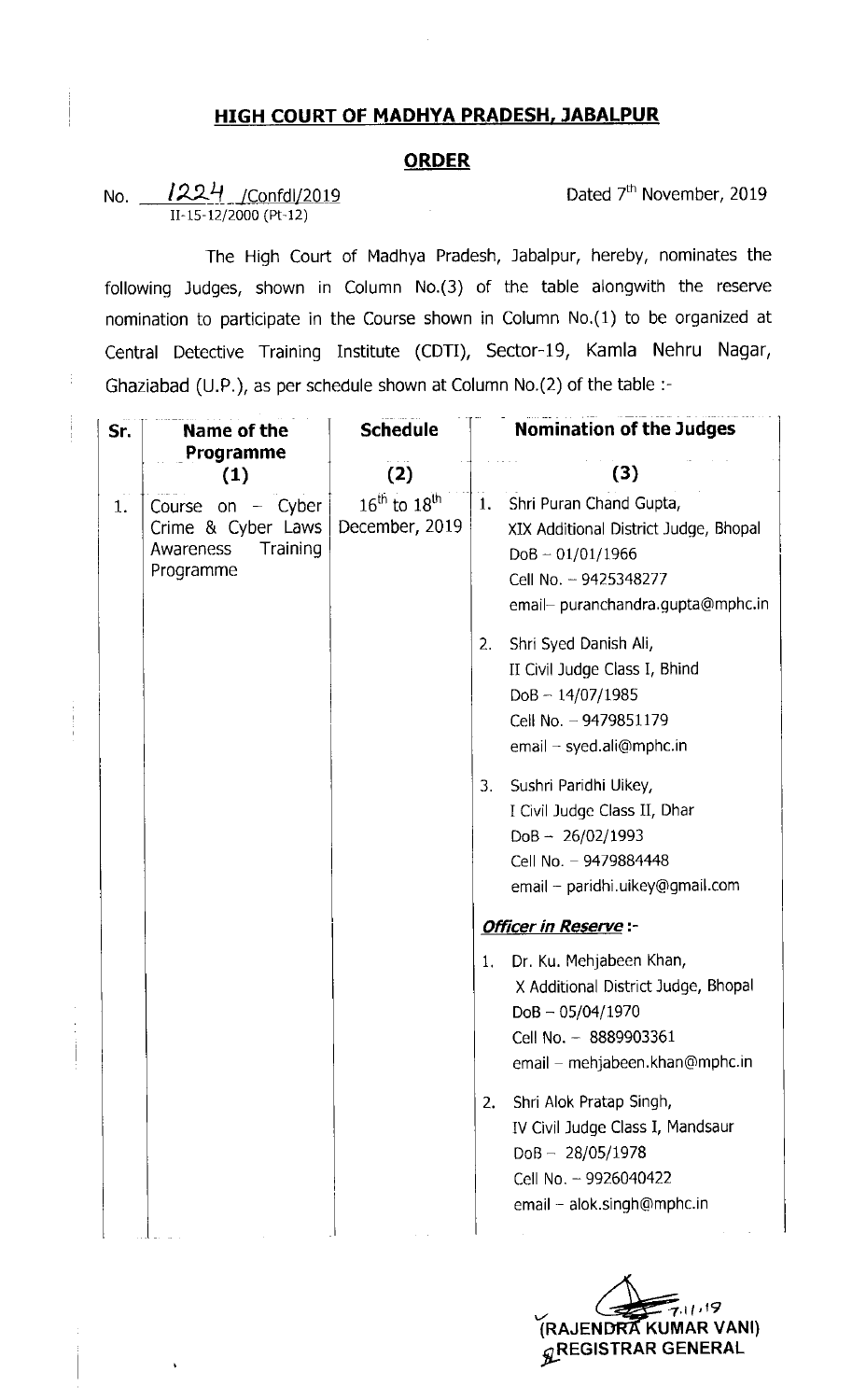## HIGH COURT OF MADHYA PRADESH, JABALPUR

## **ORDER**

No.  $1224$   $\sqrt{C}$  Confdl $\sqrt{2019}$  Dated 7<sup>th</sup> November, 2019 11-15-12/2000 (Pt-12)

The High Court of Madhya Pradesh, Jabalpur, hereby, nominates the following Judges, shown in Column No.(3) of the table alongwith the reserve nomination to participate in the Course shown in Column No.(1) to be organized at Central Detective Training Institute (CDTI), Sector-19, Kamla Nehru Nagar, Ghaziabad (U.P.), as per schedule shown at Column No.(2) of the table :-

| Sr. | Name of the<br>Programme<br>(1)                                                 | <b>Schedule</b>                                        | <b>Nomination of the Judges</b> |                                                                                                                                                      |
|-----|---------------------------------------------------------------------------------|--------------------------------------------------------|---------------------------------|------------------------------------------------------------------------------------------------------------------------------------------------------|
|     |                                                                                 | (2)                                                    |                                 | (3)                                                                                                                                                  |
| 1.  | Course on $-$ Cyber<br>Crime & Cyber Laws<br>Training<br>Awareness<br>Programme | $16^{\text{th}}$ to $18^{\text{th}}$<br>December, 2019 | 1.                              | Shri Puran Chand Gupta,<br>XIX Additional District Judge, Bhopal<br>$DoB - 01/01/1966$<br>Cell No. - 9425348277<br>email- puranchandra.gupta@mphc.in |
|     |                                                                                 |                                                        | 2.                              | Shri Syed Danish Ali,<br>II Civil Judge Class I, Bhind<br>$DoB - 14/07/1985$<br>Cell No. - 9479851179<br>$email - syed.ali@mphc.in$                  |
|     |                                                                                 |                                                        | 3 <sub>1</sub>                  | Sushri Paridhi Uikey,<br>I Civil Judge Class II, Dhar<br>$DoB - 26/02/1993$<br>Cell No. - 9479884448<br>email - paridhi.uikey@gmail.com              |
|     |                                                                                 |                                                        |                                 | <b>Officer in Reserve:-</b>                                                                                                                          |
|     |                                                                                 |                                                        | 1.                              | Dr. Ku. Mehjabeen Khan,<br>X Additional District Judge, Bhopal<br>$DoB - 05/04/1970$<br>Cell No. - 8889903361<br>email – mehjabeen.khan@mphc.in      |
|     |                                                                                 |                                                        | 2.                              | Shri Alok Pratap Singh,<br>IV Civil Judge Class I, Mandsaur<br>$DoB - 28/05/1978$<br>Cell No. - 9926040422<br>email - alok.singh@mphc.in             |